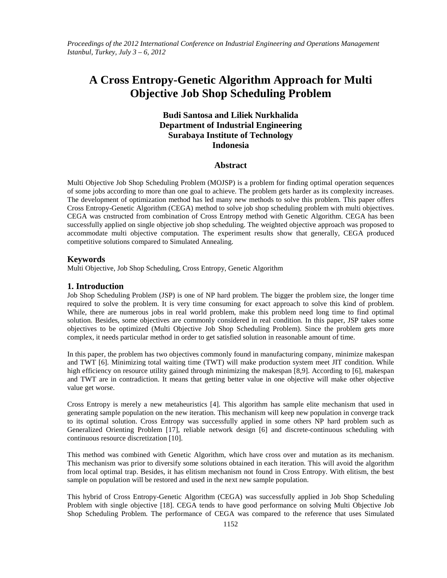*Proceedings of the 2012 International Conference on Industrial Engineering and Operations Management Istanbul, Turkey, July 3 – 6, 2012*

# **A Cross Entropy-Genetic Algorithm Approach for Multi Objective Job Shop Scheduling Problem**

# **Budi Santosa and Liliek Nurkhalida Department of Industrial Engineering Surabaya Institute of Technology Indonesia**

# **Abstract**

Multi Objective Job Shop Scheduling Problem (MOJSP) is a problem for finding optimal operation sequences of some jobs according to more than one goal to achieve. The problem gets harder as its complexity increases. The development of optimization method has led many new methods to solve this problem. This paper offers Cross Entropy-Genetic Algorithm (CEGA) method to solve job shop scheduling problem with multi objectives. CEGA was cnstructed from combination of Cross Entropy method with Genetic Algorithm. CEGA has been successfully applied on single objective job shop scheduling. The weighted objective approach was proposed to accommodate multi objective computation. The experiment results show that generally, CEGA produced competitive solutions compared to Simulated Annealing.

#### **Keywords**

Multi Objective, Job Shop Scheduling, Cross Entropy, Genetic Algorithm

# **1. Introduction**

Job Shop Scheduling Problem (JSP) is one of NP hard problem. The bigger the problem size, the longer time required to solve the problem. It is very time consuming for exact approach to solve this kind of problem. While, there are numerous jobs in real world problem, make this problem need long time to find optimal solution. Besides, some objectives are commonly considered in real condition. In this paper, JSP takes some objectives to be optimized (Multi Objective Job Shop Scheduling Problem). Since the problem gets more complex, it needs particular method in order to get satisfied solution in reasonable amount of time.

In this paper, the problem has two objectives commonly found in manufacturing company, minimize makespan and TWT [6]. Minimizing total waiting time (TWT) will make production system meet JIT condition. While high efficiency on resource utility gained through minimizing the makespan [8,9]. According to [6], makespan and TWT are in contradiction. It means that getting better value in one objective will make other objective value get worse.

Cross Entropy is merely a new metaheuristics [4]. This algorithm has sample elite mechanism that used in generating sample population on the new iteration. This mechanism will keep new population in converge track to its optimal solution. Cross Entropy was successfully applied in some others NP hard problem such as Generalized Orienting Problem [17], reliable network design [6] and discrete-continuous scheduling with continuous resource discretization [10].

This method was combined with Genetic Algorithm, which have cross over and mutation as its mechanism. This mechanism was prior to diversify some solutions obtained in each iteration. This will avoid the algorithm from local optimal trap. Besides, it has elitism mechanism not found in Cross Entropy. With elitism, the best sample on population will be restored and used in the next new sample population.

This hybrid of Cross Entropy-Genetic Algorithm (CEGA) was successfully applied in Job Shop Scheduling Problem with single objective [18]. CEGA tends to have good performance on solving Multi Objective Job Shop Scheduling Problem. The performance of CEGA was compared to the reference that uses Simulated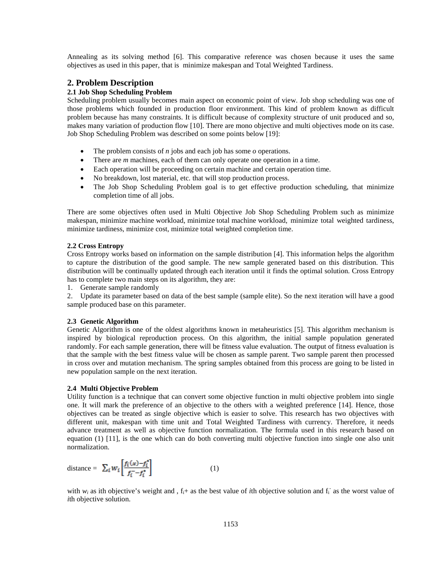Annealing as its solving method [6]. This comparative reference was chosen because it uses the same objectives as used in this paper, that is minimize makespan and Total Weighted Tardiness.

# **2. Problem Description**

# **2.1 Job Shop Scheduling Problem**

Scheduling problem usually becomes main aspect on economic point of view. Job shop scheduling was one of those problems which founded in production floor environment. This kind of problem known as difficult problem because has many constraints. It is difficult because of complexity structure of unit produced and so, makes many variation of production flow [10]. There are mono objective and multi objectives mode on its case. Job Shop Scheduling Problem was described on some points below [19]:

- The problem consists of *n* jobs and each job has some *o* operations.
- There are *m* machines, each of them can only operate one operation in a time.
- Each operation will be proceeding on certain machine and certain operation time.
- No breakdown, lost material, etc. that will stop production process.
- The Job Shop Scheduling Problem goal is to get effective production scheduling, that minimize completion time of all jobs.

There are some objectives often used in Multi Objective Job Shop Scheduling Problem such as minimize makespan, minimize machine workload, minimize total machine workload, minimize total weighted tardiness, minimize tardiness, minimize cost, minimize total weighted completion time.

#### **2.2 Cross Entropy**

Cross Entropy works based on information on the sample distribution [4]. This information helps the algorithm to capture the distribution of the good sample. The new sample generated based on this distribution. This distribution will be continually updated through each iteration until it finds the optimal solution. Cross Entropy has to complete two main steps on its algorithm, they are:

1. Generate sample randomly

2. Update its parameter based on data of the best sample (sample elite). So the next iteration will have a good sample produced base on this parameter.

#### **2.3 Genetic Algorithm**

Genetic Algorithm is one of the oldest algorithms known in metaheuristics [5]. This algorithm mechanism is inspired by biological reproduction process. On this algorithm, the initial sample population generated randomly. For each sample generation, there will be fitness value evaluation. The output of fitness evaluation is that the sample with the best fitness value will be chosen as sample parent. Two sample parent then processed in cross over and mutation mechanism. The spring samples obtained from this process are going to be listed in new population sample on the next iteration.

#### **2.4 Multi Objective Problem**

Utility function is a technique that can convert some objective function in multi objective problem into single one. It will mark the preference of an objective to the others with a weighted preference [14]. Hence, those objectives can be treated as single objective which is easier to solve. This research has two objectives with different unit, makespan with time unit and Total Weighted Tardiness with currency. Therefore, it needs advance treatment as well as objective function normalization. The formula used in this research based on equation (1) [11], is the one which can do both converting multi objective function into single one also unit normalization.

distance = 
$$
\sum_{\vec{i}} w_{\vec{i}} \left[ \frac{f_{\vec{i}}(x) - f_{\vec{i}}^*}{f_{\vec{i}} - f_{\vec{i}}^*} \right]
$$
 (1)

with  $w_i$  as ith objective's weight and,  $f_i$ + as the best value of *i*th objective solution and  $f_i$  as the worst value of *i*th objective solution.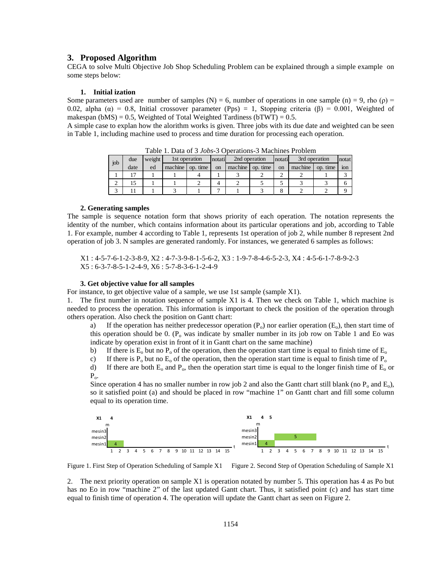#### **3. Proposed Algorithm**

CEGA to solve Multi Objective Job Shop Scheduling Problem can be explained through a simple example on some steps below:

#### **1. Initial ization**

Some parameters used are number of samples (N) = 6, number of operations in one sample (n) = 9, rho ( $\rho$ ) = 0.02, alpha ( $\alpha$ ) = 0.8, Initial crossover parameter (Pps) = 1, Stopping criteria ( $\beta$ ) = 0.001, Weighted of makespan (bMS) = 0.5, Weighted of Total Weighted Tardiness (bTWT) = 0.5.

A simple case to explan how the alorithm works is given. Three jobs with its due date and weighted can be seen in Table 1, including machine used to process and time duration for processing each operation.

| job | 1st operation<br>weight<br>due |    | notati  |          | 2nd operation |         | 3rd operation<br>notati |               | notat   |          |     |
|-----|--------------------------------|----|---------|----------|---------------|---------|-------------------------|---------------|---------|----------|-----|
|     | date                           | ed | machine | op. time | on            | machine | time<br>OD.             | <sub>on</sub> | machine | op. time | ion |
|     | רו                             |    |         |          |               |         |                         |               |         |          |     |
|     | 15                             |    |         |          |               |         |                         |               |         |          | O   |
|     |                                |    |         |          |               |         |                         |               |         |          |     |

Table 1. Data of 3 *Jobs*-3 Operations-3 Machines Problem

#### **2. Generating samples**

The sample is sequence notation form that shows priority of each operation. The notation represents the identity of the number, which contains information about its particular operations and job, according to Table 1. For example, number 4 according to Table 1, represents 1st operation of job 2, while number 8 represent 2nd operation of job 3. N samples are generated randomly. For instances, we generated 6 samples as follows:

X1 : 4-5-7-6-1-2-3-8-9, X2 : 4-7-3-9-8-1-5-6-2, X3 : 1-9-7-8-4-6-5-2-3, X4 : 4-5-6-1-7-8-9-2-3 X5 : 6-3-7-8-5-1-2-4-9, X6 : 5-7-8-3-6-1-2-4-9

#### **3. Get objective value for all samples**

For instance, to get objective value of a sample, we use 1st sample (sample X1).

1. The first number in notation sequence of sample X1 is 4. Then we check on Table 1, which machine is needed to process the operation. This information is important to check the position of the operation through others operation. Also check the position on Gantt chart:

a) If the operation has neither predecessor operation  $(P_0)$  nor earlier operation  $(E_0)$ , then start time of this operation should be 0.  $(P_0$  was indicate by smaller number in its job row on Table 1 and Eo was indicate by operation exist in front of it in Gantt chart on the same machine)

b) If there is  $E_0$  but no  $P_0$  of the operation, then the operation start time is equal to finish time of  $E_0$ 

c) If there is  $P_0$  but no  $E_0$  of the operation, then the operation start time is equal to finish time of  $P_0$ 

d) If there are both  $E_0$  and  $P_0$ , then the operation start time is equal to the longer finish time of  $E_0$  or  $P_{\alpha}$ .

Since operation 4 has no smaller number in row job 2 and also the Gantt chart still blank (no  $P_0$  and  $E_0$ ), so it satisfied point (a) and should be placed in row "machine 1" on Gantt chart and fill some column equal to its operation time.



Figure 1. First Step of Operation Scheduling of Sample X1 Figure 2. Second Step of Operation Scheduling of Sample X1

2. The next priority operation on sample X1 is operation notated by number 5. This operation has 4 as Po but has no Eo in row "machine 2" of the last updated Gantt chart. Thus, it satisfied point (c) and has start time equal to finish time of operation 4. The operation will update the Gantt chart as seen on Figure 2.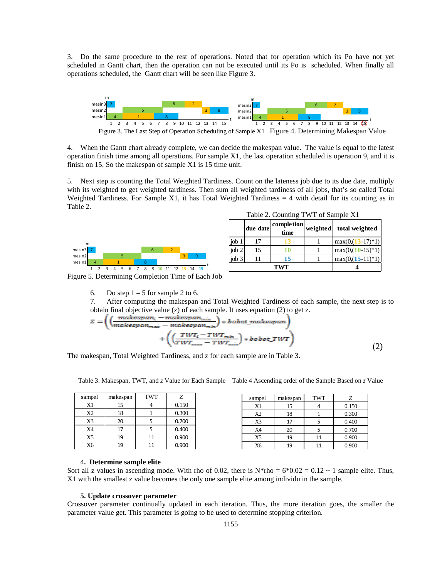3. Do the same procedure to the rest of operations. Noted that for operation which its Po have not yet scheduled in Gantt chart, then the operation can not be executed until its Po is scheduled. When finally all operations scheduled, the Gantt chart will be seen like Figure 3.



4. When the Gantt chart already complete, we can decide the makespan value. The value is equal to the latest operation finish time among all operations. For sample X1, the last operation scheduled is operation 9, and it is finish on 15. So the makespan of sample X1 is 15 time unit.

5. Next step is counting the Total Weighted Tardiness. Count on the lateness job due to its due date, multiply with its weighted to get weighted tardiness. Then sum all weighted tardiness of all jobs, that's so called Total Weighted Tardiness. For Sample X1, it has Total Weighted Tardiness  $= 4$  with detail for its counting as in Table 2.



|       | Table 2. Counting TWT of Sample X1 |                                             |
|-------|------------------------------------|---------------------------------------------|
|       |                                    | due date completion weighted total weighted |
| job 1 |                                    | $\max(0,(13-17)*1)$                         |
| iob   |                                    | $\frac{\text{max}(0.10 - 15)}{1}$           |

 $\begin{array}{|c|c|c|c|c|c|c|c|} \hline \text{job 3} & 11 & 15 & 1 \text{max}(0.015-11)^*1 \\ \hline \end{array}$ **TWT 4**

Figure 5. Determining Completion Time of Each Job

6. Do step  $1 - 5$  for sample 2 to 6.

7. After computing the makespan and Total Weighted Tardiness of each sample, the next step is to obtain final objective value (z) of each sample. It uses equation (2) to get z.

$$
z = \left( \left( \frac{makesspan_i - makespan_{min}}{makespan_{max} - makespan_{min}} \right) * book\_makespan \right) + \left( \left( \frac{TWT_i - TWT_{min}}{TWT_{max} - TWT_{min}} \right) * book \text{TVT} \right)
$$
 (2)

The makespan, Total Weighted Tardiness, and z for each sample are in Table 3.

|  |  | Table 3. Makespan, TWT, and z Value for Each Sample Table 4 Ascending order of the Sample Based on z Value |
|--|--|------------------------------------------------------------------------------------------------------------|
|  |  |                                                                                                            |

| sampel         | makespan | <b>TWT</b> | Ζ     |
|----------------|----------|------------|-------|
| X1             | 15       |            | 0.150 |
| X2             | 18       |            | 0.300 |
| X3             | 20       |            | 0.700 |
| X4             | 17       |            | 0.400 |
| X <sub>5</sub> | 19       | 11         | 0.900 |
| X6             | 19       | 11         | 0.900 |

| sampel | makespan | <b>TWT</b> | Z     |
|--------|----------|------------|-------|
| X1     | 15       |            | 0.150 |
| X2     | 18       |            | 0.300 |
| X3     | 17       |            | 0.400 |
| X4     | 20       |            | 0.700 |
| X5     | 19       | 11         | 0.900 |
| X6     | 19       | 11         | 0.900 |

#### 4**. Determine sample elite**

Sort all z values in ascending mode. With rho of 0.02, there is  $N*rho = 6*0.02 = 0.12 \sim 1$  sample elite. Thus, X1 with the smallest z value becomes the only one sample elite among individu in the sample.

#### **5. Update crossover parameter**

Crossover parameter continually updated in each iteration. Thus, the more iteration goes, the smaller the parameter value get. This parameter is going to be used to determine stopping criterion.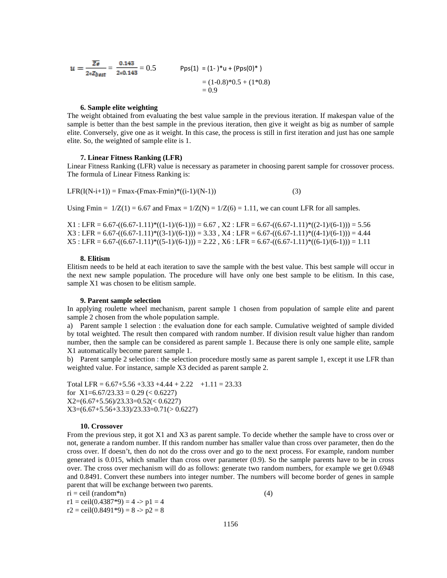$$
u = \frac{\overline{z}\mathbf{B}}{2*z_{\text{best}}} = \frac{0.143}{2*0.143} = 0.5
$$
 
$$
\text{Pps}(1) = (1-)*u + (\text{Pps}(0)*)
$$

$$
= (1-0.8)*0.5 + (1*0.8)
$$

$$
= 0.9
$$

#### **6. Sample elite weighting**

The weight obtained from evaluating the best value sample in the previous iteration. If makespan value of the sample is better than the best sample in the previous iteration, then give it weight as big as number of sample elite. Conversely, give one as it weight. In this case, the process is still in first iteration and just has one sample elite. So, the weighted of sample elite is 1.

#### **7. Linear Fitness Ranking (LFR)**

Linear Fitness Ranking (LFR) value is necessary as parameter in choosing parent sample for crossover process. The formula of Linear Fitness Ranking is:

 $LFR(I(N-i+1)) = Fmax-(Fmax-Fmin)*(i-1)/(N-1))$  (3)

Using Fmin =  $1/Z(1) = 6.67$  and Fmax =  $1/Z(N) = 1/Z(6) = 1.11$ , we can count LFR for all samples.

 $X1$ : LFR = 6.67-((6.67-1.11)\*((1-1)/(6-1))) = 6.67, X2: LFR = 6.67-((6.67-1.11)\*((2-1)/(6-1))) = 5.56  $X3$ : LFR = 6.67- $((6.67-1.11)*(3-1)/(6-1)))$  = 3.33, X4 : LFR = 6.67- $((6.67-1.11)*(4-1)/(6-1)))$  = 4.44  $X5$ : LFR = 6.67-((6.67-1.11)\*((5-1)/(6-1))) = 2.22, X6 : LFR = 6.67-((6.67-1.11)\*((6-1)/(6-1))) = 1.11

#### **8. Elitism**

Elitism needs to be held at each iteration to save the sample with the best value. This best sample will occur in the next new sample population. The procedure will have only one best sample to be elitism. In this case, sample X1 was chosen to be elitism sample.

#### **9. Parent sample selection**

In applying roulette wheel mechanism, parent sample 1 chosen from population of sample elite and parent sample 2 chosen from the whole population sample.

a) Parent sample 1 selection : the evaluation done for each sample. Cumulative weighted of sample divided by total weighted. The result then compared with random number. If division result value higher than random number, then the sample can be considered as parent sample 1. Because there is only one sample elite, sample X1 automatically become parent sample 1.

b) Parent sample 2 selection : the selection procedure mostly same as parent sample 1, except it use LFR than weighted value. For instance, sample X3 decided as parent sample 2.

Total LFR =  $6.67+5.56+3.33+4.44+2.22+1.11=23.33$ for  $X1=6.67/23.33 = 0.29$  (< 0.6227) X2=(6.67+5.56)/23.33=0.52(< 0.6227) X3=(6.67+5.56+3.33)/23.33=0.71(> 0.6227)

#### **10. Crossover**

From the previous step, it got X1 and X3 as parent sample. To decide whether the sample have to cross over or not, generate a random number. If this random number has smaller value than cross over parameter, then do the cross over. If doesn't, then do not do the cross over and go to the next process. For example, random number generated is 0.015, which smaller than cross over parameter (0.9). So the sample parents have to be in cross over. The cross over mechanism will do as follows: generate two random numbers, for example we get 0.6948 and 0.8491. Convert these numbers into integer number. The numbers will become border of genes in sample parent that will be exchange between two parents.

 $ri = ceil (random *n)$  (4)  $r1 =$  ceil(0.4387\*9) = 4 -> p1 = 4  $r2 = \text{ceil}(0.8491^*9) = 8 \Rightarrow p2 = 8$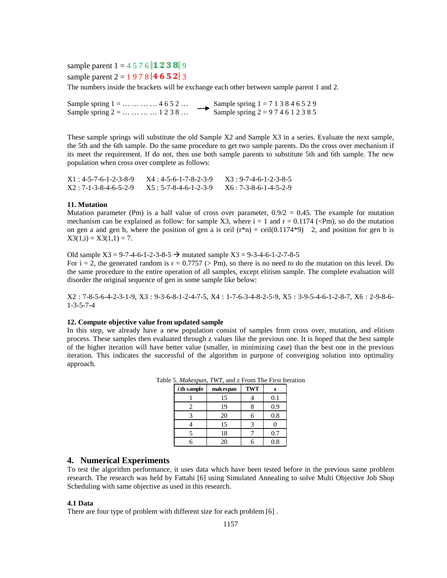sample parent  $1 = 4 5 7 6 ||1 2 3 8 || 9$ sample parent  $2 = 1978$  | 46 5 2 | 3

The numbers inside the brackets will be exchange each other between sample parent 1 and 2.

Sample spring  $1 = ... ... ... ... 4652...$ <br>Sample spring  $1 = 713846529$ <br>Sample spring  $2 = 974612385$ Sample spring  $2 = ... ... ... 1 2 3 8 ...$ 

These sample springs will substitute the old Sample X2 and Sample X3 in a series. Evaluate the next sample, the 5th and the 6th sample. Do the same procedure to get two sample parents. Do the cross over mechanism if its meet the requirement. If do not, then use both sample parents to substitute 5th and 6th sample. The new population when cross over complete as follows:

 $X1: 4-5-7-6-1-2-3-8-9$   $X4: 4-5-6-1-7-8-2-3-9$   $X3: 9-7-4-6-1-2-3-8-5$  $X2 : 7-1-3-8-4-6-5-2-9$   $X5 : 5-7-8-4-6-1-2-3-9$   $X6 : 7-3-8-6-1-4-5-2-9$ 

# **11. Mutation**

Mutation parameter (Pm) is a half value of cross over parameter,  $0.9/2 = 0.45$ . The example for mutation mechanism can be explained as follow: for sample X3, where  $i = 1$  and  $r = 0.1174$  (<Pm), so do the mutation on gen a and gen b, where the position of gen a is ceil  $(r*n) = ceil(0.1174*9)$  2, and position for gen b is  $X3(1,i) = X3(1,1) = 7.$ 

Old sample  $X3 = 9-7-4-6-1-2-3-8-5 \rightarrow$  mutated sample  $X3 = 9-3-4-6-1-2-7-8-5$ For  $i = 2$ , the generated random is  $r = 0.7757$  (> Pm), so there is no need to do the mutation on this level. Do the same procedure to the entire operation of all samples, except elitism sample. The complete evaluation will disorder the original sequence of gen in some sample like below:

X2 : 7-8-5-6-4-2-3-1-9, X3 : 9-3-6-8-1-2-4-7-5, X4 : 1-7-6-3-4-8-2-5-9, X5 : 3-9-5-4-6-1-2-8-7, X6 : 2-9-8-6- 1-3-5-7-4

# **12. Compute objective value from updated sample**

In this step, we already have a new population consist of samples from cross over, mutation, and elitism process. These samples then evaluated through z values like the previous one. It is hoped that the best sample of the higher iteration will have better value (smaller, in minimizing case) than the best one in the previous iteration. This indicates the successful of the algorithm in purpose of converging solution into optimality approach.

| $i$ th sample | makespan | <b>TWT</b> | z   |
|---------------|----------|------------|-----|
|               | 15       |            | 0.1 |
|               | 19       |            | 0.9 |
|               | 20       |            | 0.8 |
|               | 15       |            |     |
|               | 18       |            | 0.7 |
|               | 20       |            | 0.8 |

Table 5. *Makespan*, *TWT*, and z From The First Iteration

# **4. Numerical Experiments**

To test the algorithm performance, it uses data which have been tested before in the previous same problem research. The research was held by Fattahi [6] using Simulated Annealing to solve Multi Objective Job Shop Scheduling with same objective as used in this research.

#### **4.1 Data**

There are four type of problem with different size for each problem [6] .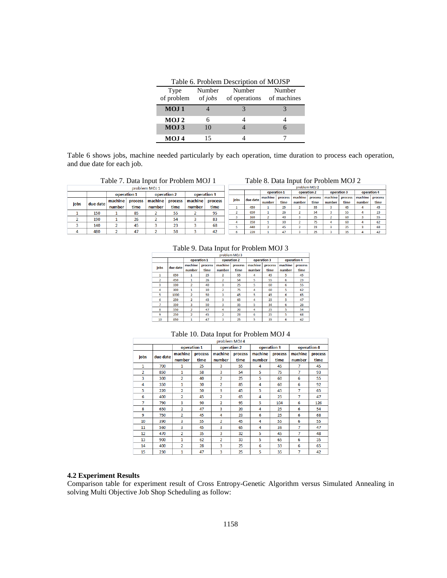| Table 6. Problem Description of MOJSP |        |                                                        |        |  |  |  |  |  |  |  |  |
|---------------------------------------|--------|--------------------------------------------------------|--------|--|--|--|--|--|--|--|--|
| Type                                  | Number | Number<br>of problem of jobs of operations of machines | Number |  |  |  |  |  |  |  |  |
| MOJ <sub>1</sub>                      |        |                                                        |        |  |  |  |  |  |  |  |  |
| MOJ <sub>2</sub>                      |        |                                                        |        |  |  |  |  |  |  |  |  |
| MOJ <sub>3</sub>                      | 10     |                                                        |        |  |  |  |  |  |  |  |  |
| MOJ 4                                 | 15     |                                                        |        |  |  |  |  |  |  |  |  |

Table 6 shows jobs, machine needed particularly by each operation, time duration to process each operation, and due date for each job.

# Table 7. Data Input for Problem MOJ 1 Table 8. Data Input for Problem MOJ 2

|      |                                           |         |      | problem MOJ 1     |         |             |         |             |          |             |         | problem MOJ 2 |         |         |                |                   |          |
|------|-------------------------------------------|---------|------|-------------------|---------|-------------|---------|-------------|----------|-------------|---------|---------------|---------|---------|----------------|-------------------|----------|
|      | operation 2<br>operation 3<br>operation 1 |         |      |                   |         | operation 1 |         | operation 2 |          | operation 3 |         | operation 4   |         |         |                |                   |          |
|      |                                           |         |      |                   |         |             |         |             |          | machine     | process | machine       | process | machine | <b>process</b> | machine   process |          |
| jobs | due date                                  | machine |      | process   machine | process | machine     | process | jobs        | due date | number      | time    | number        | time    | number  | time           | number            | time     |
|      |                                           | number  | time | number            | time    | number      | time    |             | 450      |             | 25      |               | 55      |         | 45             |                   | 45       |
|      | 150                                       |         | 85   |                   | 55      |             | 95      |             | 650      |             | 26      |               | 54      |         | 55             |                   | 23       |
|      | 190                                       |         | 26   |                   | 54      |             | 83      |             | 160      |             | 40      |               | 25      |         | 60             |                   | 55       |
|      |                                           |         |      |                   |         |             |         |             | 350      |             | 30      |               | 75      |         | 60             |                   | 62       |
|      | 140                                       |         | 45   |                   | 23      |             | 68      |             | 440      |             | 45      |               | 23      |         | 25             |                   | 68       |
|      | 480                                       |         | 47   |                   | 58      |             | 42      |             | 220      |             | 47      |               | 25      |         | 35             |                   | $\Delta$ |

# Table 9. Data Input for Problem MOJ 3

|                | problem MOJ 3 |                |         |                |             |                |         |             |         |  |  |
|----------------|---------------|----------------|---------|----------------|-------------|----------------|---------|-------------|---------|--|--|
|                |               | operation 1    |         |                | operation 2 | operation 3    |         | operation 4 |         |  |  |
| jobs           | due date      | machine        | process | machine        | process     | machine        | process | machine     | process |  |  |
|                |               | number         | time    | number         | time        | number         | time    | number      | time    |  |  |
| 1              | 650           |                | 25      | 2              | 55          | Δ              | 45      | 5           | 45      |  |  |
| $\overline{2}$ | 450           |                | 26      | $\overline{2}$ | 54          | 5              | 55      | 6           | 23      |  |  |
| 3              | 330           | $\overline{2}$ | 40      | 3              | 25          | 5              | 60      | 6           | 55      |  |  |
| 4              | 300           | 1              | 30      | $\overline{2}$ | 75          | $\overline{a}$ | 60      | 5           | 62      |  |  |
| 5              | 1000          | $\overline{2}$ | 50      | 3              | 45          | 5              | 45      | 6           | 65      |  |  |
| 6              | 250           | C              | 45      | 3              | 65          | Δ              | 25      | 5           | 47      |  |  |
| 7              | 350           | 3              | 50      | 3              | 35          | 5              | 34      | 6           | 26      |  |  |
| 8              | 550           | $\overline{2}$ | 47      | 4              | 20          | 4              | 25      | 5           | 54      |  |  |
| 9              | 250           | $\overline{2}$ | 45      | $\overline{2}$ | 23          | 6              | 25      | 5           | 68      |  |  |
| 10             | 850           | 1              | 47      | 3              | 25          | 5              | 35      | 6           | 42      |  |  |

# Table 10. Data Input for Problem MOJ 4

|                |          |                |             |                | problem MOJ 4 |         |             |             |         |
|----------------|----------|----------------|-------------|----------------|---------------|---------|-------------|-------------|---------|
|                |          |                | operation 1 |                | operation 2   |         | operation 3 | operation 4 |         |
| jobs           | due date | machine        | process     | machine        | process       | machine | process     | machine     | process |
|                |          | number         | time        | number         | time          | number  | time        | number      | time    |
| 1              | 700      | 1              | 25          | 3              | 55            | 4       | 45          | 7           | 45      |
| $\overline{2}$ | 850      | 1              | 58          | 3              | 54            | 5       | 75          | 7           | 93      |
| 3              | 300      | $\overline{2}$ | 40          | $\overline{2}$ | 25            | 5       | 60          | 6           | 55      |
| 4              | 350      | 1              | 30          | $\overline{a}$ | 85            | 4       | 60          | 6           | 92      |
| 5              | 220      | $\overline{2}$ | 50          | 3              | 45            | 5       | 45          | 7           | 65      |
| 6              | 400      | $\overline{2}$ | 45          | $\overline{2}$ | 65            | 4       | 25          | 7           | 47      |
| 7              | 790      | 3              | 90          | $\overline{a}$ | 95            | 5       | 104         | 6           | 126     |
| 8              | 650      | $\overline{2}$ | 47          | 3              | 20            | 4       | 25          | 6           | 54      |
| 9              | 750      | $\overline{2}$ | 45          | 4              | 23            | 6       | 25          | 6           | 68      |
| 10             | 390      | 3              | 55          | $\overline{a}$ | 45            | 4       | 55          | 6           | 55      |
| 11             | 560      | 3              | 45          | 3              | 65            | 4       | 36          | 7           | 47      |
| 12             | 470      | $\overline{2}$ | 35          | 3              | 32            | 5       | 45          | 7           | 48      |
| 13             | 900      | 1              | 62          | $\overline{2}$ | 33            | 5       | 65          | 6           | 35      |
| 14             | 400      | $\overline{2}$ | 28          | 3              | 25            | 6       | 33          | 6           | 65      |
| 15             | 230      | 1              | 47          | 3              | 25            | 5       | 35          | 7           | 42      |

# **4.2 Experiment Results**

Comparison table for experiment result of Cross Entropy-Genetic Algorithm versus Simulated Annealing in solving Multi Objective Job Shop Scheduling as follow: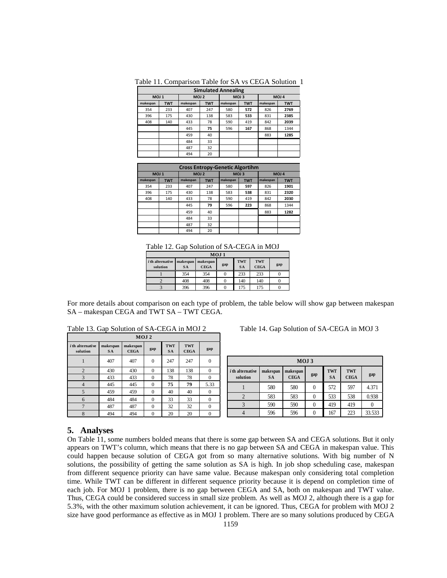|                  | <b>Simulated Annealing</b> |                  |            |                  |            |          |                  |  |  |  |  |  |
|------------------|----------------------------|------------------|------------|------------------|------------|----------|------------------|--|--|--|--|--|
| MOJ <sub>1</sub> |                            | MOJ <sub>2</sub> |            | MOJ <sub>3</sub> |            |          | MOJ <sub>4</sub> |  |  |  |  |  |
| makespan         | <b>TWT</b>                 | makespan         | <b>TWT</b> | makespan         | <b>TWT</b> | makespan | <b>TWT</b>       |  |  |  |  |  |
| 354              | 233                        | 407              | 247        | 580              | 572        | 826      | 2769             |  |  |  |  |  |
| 396              | 175                        | 430              | 138        | 583              | 533        | 831      | 2385             |  |  |  |  |  |
| 408              | 140                        | 433              | 78         | 590              | 419        | 842      | 2039             |  |  |  |  |  |
|                  |                            | 445              | 75         | 596              | 167        | 868      | 1344             |  |  |  |  |  |
|                  |                            | 459              | 40         |                  |            | 883      | 1285             |  |  |  |  |  |
|                  |                            | 484              | 33         |                  |            |          |                  |  |  |  |  |  |
|                  |                            | 487              | 32         |                  |            |          |                  |  |  |  |  |  |
|                  |                            | 494              | 20         |                  |            |          |                  |  |  |  |  |  |

Table 11. Comparison Table for SA vs CEGA Solution 1

| <b>Cross Entropy-Genetic Algortihm</b> |            |                  |            |                  |            |                  |            |  |  |
|----------------------------------------|------------|------------------|------------|------------------|------------|------------------|------------|--|--|
| MOJ <sub>1</sub>                       |            | MOJ <sub>2</sub> |            | MOJ <sub>3</sub> |            | MOJ <sub>4</sub> |            |  |  |
| makespan                               | <b>TWT</b> | makespan         | <b>TWT</b> | makespan         | <b>TWT</b> | makespan         | <b>TWT</b> |  |  |
| 354                                    | 233        | 407              | 247        | 580              | 597        | 826              | 1901       |  |  |
| 396                                    | 175        | 430              | 138        | 583              | 538        | 831              | 2320       |  |  |
| 408                                    | 140        | 433              | 78         | 590              | 419        | 842              | 2030       |  |  |
|                                        |            | 445              | 79         | 596              | 223        | 868              | 1344       |  |  |
|                                        |            | 459              | 40         |                  |            | 883              | 1282       |  |  |
|                                        |            | 484              | 33         |                  |            |                  |            |  |  |
|                                        |            | 487              | 32         |                  |            |                  |            |  |  |
|                                        |            | 494              | 20         |                  |            |                  |            |  |  |

Table 12. Gap Solution of SA-CEGA in MOJ

| $MOJ_1$                             |                                |             |        |                         |                           |     |  |  |  |
|-------------------------------------|--------------------------------|-------------|--------|-------------------------|---------------------------|-----|--|--|--|
| <i>i</i> th alternative<br>solution | makespan makespan<br><b>SA</b> | <b>CEGA</b> | gap    | <b>TWT</b><br><b>SA</b> | <b>TWT</b><br><b>CEGA</b> | gap |  |  |  |
|                                     | 354                            | 354         |        | 233                     | 233                       |     |  |  |  |
|                                     | 408                            | 408         | $_{0}$ | 140                     | 140                       |     |  |  |  |
|                                     | 396                            | 396         |        | 175                     | 175                       |     |  |  |  |

For more details about comparison on each type of problem, the table below will show gap between makespan SA – makespan CEGA and TWT SA – TWT CEGA.

| MOJ 2                               |                       |                         |          |                  |                    |          |  |  |  |
|-------------------------------------|-----------------------|-------------------------|----------|------------------|--------------------|----------|--|--|--|
| <i>i</i> th alternative<br>solution | makespan<br><b>SA</b> | makespan<br><b>CEGA</b> | gap      | TWT<br><b>SA</b> | TWT<br><b>CEGA</b> | gap      |  |  |  |
|                                     | 407                   | 407                     | $\theta$ | 247              | 247                | $\theta$ |  |  |  |
| $\overline{2}$                      | 430                   | 430                     | $\Omega$ | 138              | 138                | $\Omega$ |  |  |  |
| 3                                   | 433                   | 433                     | $\theta$ | 78               | 78                 | $\Omega$ |  |  |  |
| $\overline{4}$                      | 445                   | 445                     | $\theta$ | 75               | 79                 | 5.33     |  |  |  |
| 5                                   | 459                   | 459                     | $\theta$ | 40               | 40                 | $\Omega$ |  |  |  |
| 6                                   | 484                   | 484                     | $\theta$ | 33               | 33                 | $\Omega$ |  |  |  |
| 7                                   | 487                   | 487                     | $\Omega$ | 32               | 32                 | $\theta$ |  |  |  |
| 8                                   | 494                   | 494                     | $\theta$ | 20               | 20                 | $\theta$ |  |  |  |

Table 13. Gap Solution of SA-CEGA in MOJ 2 Table 14. Gap Solution of SA-CEGA in MOJ 3

| MOJ <sub>3</sub>                    |                       |                         |     |                         |                    |        |  |  |  |
|-------------------------------------|-----------------------|-------------------------|-----|-------------------------|--------------------|--------|--|--|--|
| <i>i</i> th alternative<br>solution | makespan<br><b>SA</b> | makespan<br><b>CEGA</b> | gap | <b>TWT</b><br><b>SA</b> | TWT<br><b>CEGA</b> | gap    |  |  |  |
|                                     | 580                   | 580                     |     | 572                     | 597                | 4.371  |  |  |  |
|                                     | 583                   | 583                     |     | 533                     | 538                | 0.938  |  |  |  |
|                                     | 590                   | 590                     |     | 419                     | 419                |        |  |  |  |
|                                     | 596                   | 596                     |     | 167                     | 223                | 33.533 |  |  |  |

# **5. Analyses**

On Table 11, some numbers bolded means that there is some gap between SA and CEGA solutions. But it only appears on TWT's column, which means that there is no gap between SA and CEGA in makespan value. This could happen because solution of CEGA got from so many alternative solutions. With big number of N solutions, the possibility of getting the same solution as SA is high. In job shop scheduling case, makespan from different sequence priority can have same value. Because makespan only considering total completion time. While TWT can be different in different sequence priority because it is depend on completion time of each job. For MOJ 1 problem, there is no gap between CEGA and SA, both on makespan and TWT value. Thus, CEGA could be considered success in small size problem. As well as MOJ 2, although there is a gap for 5.3%, with the other maximum solution achievement, it can be ignored. Thus, CEGA for problem with MOJ 2 size have good performance as effective as in MOJ 1 problem. There are so many solutions produced by CEGA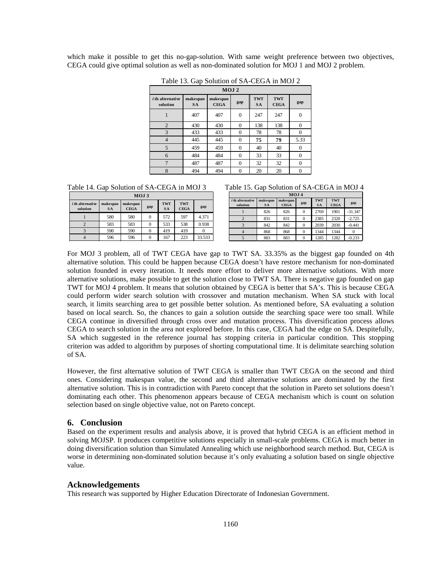which make it possible to get this no-gap-solution. With same weight preference between two objectives, CEGA could give optimal solution as well as non-dominated solution for MOJ 1 and MOJ 2 problem.

| MOJ <sub>2</sub>                    |                       |                         |                |                         |                           |          |  |  |  |
|-------------------------------------|-----------------------|-------------------------|----------------|-------------------------|---------------------------|----------|--|--|--|
| <i>i</i> th alternative<br>solution | makespan<br><b>SA</b> | makespan<br><b>CEGA</b> | gap            | <b>TWT</b><br><b>SA</b> | <b>TWT</b><br><b>CEGA</b> | gap      |  |  |  |
|                                     | 407                   | 407                     | $\overline{0}$ | 247                     | 247                       | 0        |  |  |  |
| $\overline{2}$                      | 430                   | 430                     | $\theta$       | 138                     | 138                       | 0        |  |  |  |
| 3                                   | 433                   | 433                     | $\theta$       | 78                      | 78                        | $\Omega$ |  |  |  |
| $\overline{4}$                      | 445                   | 445                     | $\overline{0}$ | 75                      | 79                        | 5.33     |  |  |  |
| 5                                   | 459                   | 459                     | $\theta$       | 40                      | 40                        |          |  |  |  |
| 6                                   | 484                   | 484                     | $\theta$       | 33                      | 33                        | 0        |  |  |  |
| $\overline{7}$                      | 487                   | 487                     | $\theta$       | 32                      | 32                        | $\Omega$ |  |  |  |
| 8                                   | 494                   | 494                     | $\theta$       | 20                      | 20                        | $\Omega$ |  |  |  |

Table 13. Gap Solution of SA-CEGA in MOJ 2

Table 14. Gap Solution of SA-CEGA in MOJ 3 Table 15. Gap Solution of SA-CEGA in MOJ 4

| MOJ <sub>3</sub>               |                       |                         |     |                         |                           |        |  |  |
|--------------------------------|-----------------------|-------------------------|-----|-------------------------|---------------------------|--------|--|--|
| $i$ th alternative<br>solution | makespan<br><b>SA</b> | makespan<br><b>CEGA</b> | gap | <b>TWT</b><br><b>SA</b> | <b>TWT</b><br><b>CEGA</b> | gap    |  |  |
|                                | 580                   | 580                     | 0   | 572                     | 597                       | 4.371  |  |  |
|                                | 583                   | 583                     |     | 533                     | 538                       | 0.938  |  |  |
|                                | 590                   | 590                     |     | 419                     | 419                       |        |  |  |
|                                | 596                   | 596                     |     | 167                     | 223                       | 33.533 |  |  |

| MOJ <sub>4</sub>                    |                       |                         |     |                  |                           |           |  |  |  |
|-------------------------------------|-----------------------|-------------------------|-----|------------------|---------------------------|-----------|--|--|--|
| <i>i</i> th alternative<br>solution | makespan<br><b>SA</b> | makespan<br><b>CEGA</b> | gap | TWI<br><b>SA</b> | <b>TWT</b><br><b>CEGA</b> | gap       |  |  |  |
|                                     | 826                   | 826                     | 0   | 2769             | 1901                      | $-31.347$ |  |  |  |
|                                     | 831                   | 831                     | 0   | 2385             | 2320                      | $-2.725$  |  |  |  |
|                                     | 842                   | 842                     | 0   | 2039             | 2030                      | $-0.441$  |  |  |  |
|                                     | 868                   | 868                     | 0   | 1344             | 1344                      |           |  |  |  |
|                                     | 883                   | 883                     | 0   | 1285             | 1282                      | $-0.233$  |  |  |  |

For MOJ 3 problem, all of TWT CEGA have gap to TWT SA. 33.35% as the biggest gap founded on 4th alternative solution. This could be happen because CEGA doesn't have restore mechanism for non-dominated solution founded in every iteration. It needs more effort to deliver more alternative solutions. With more alternative solutions, make possible to get the solution close to TWT SA. There is negative gap founded on gap TWT for MOJ 4 problem. It means that solution obtained by CEGA is better that SA's. This is because CEGA could perform wider search solution with crossover and mutation mechanism. When SA stuck with local search, it limits searching area to get possible better solution. As mentioned before, SA evaluating a solution based on local search. So, the chances to gain a solution outside the searching space were too small. While CEGA continue in diversified through cross over and mutation process. This diversification process allows CEGA to search solution in the area not explored before. In this case, CEGA had the edge on SA. Despitefully, SA which suggested in the reference journal has stopping criteria in particular condition. This stopping criterion was added to algorithm by purposes of shorting computational time. It is delimitate searching solution of SA.

However, the first alternative solution of TWT CEGA is smaller than TWT CEGA on the second and third ones. Considering makespan value, the second and third alternative solutions are dominated by the first alternative solution. This is in contradiction with Pareto concept that the solution in Pareto set solutions doesn't dominating each other. This phenomenon appears because of CEGA mechanism which is count on solution selection based on single objective value, not on Pareto concept.

# **6. Conclusion**

Based on the experiment results and analysis above, it is proved that hybrid CEGA is an efficient method in solving MOJSP. It produces competitive solutions especially in small-scale problems. CEGA is much better in doing diversification solution than Simulated Annealing which use neighborhood search method. But, CEGA is worse in determining non-dominated solution because it's only evaluating a solution based on single objective value.

# **Acknowledgements**

This research was supported by Higher Education Directorate of Indonesian Government.